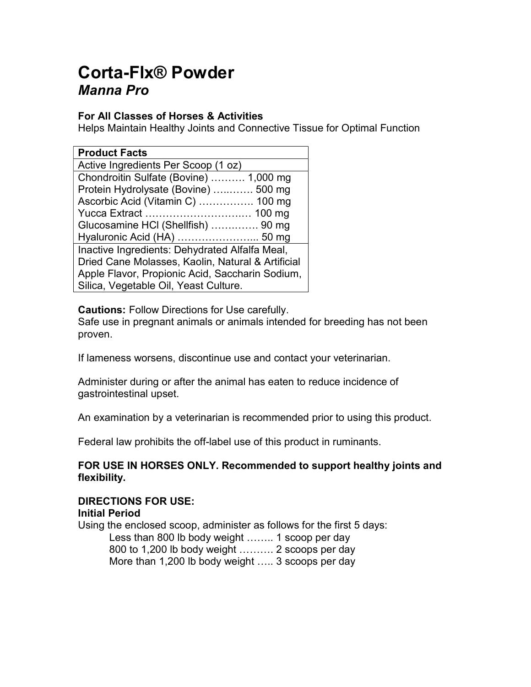# Corta-Flx® Powder Manna Pro

## For All Classes of Horses & Activities

Helps Maintain Healthy Joints and Connective Tissue for Optimal Function

| <b>Product Facts</b>                              |
|---------------------------------------------------|
| Active Ingredients Per Scoop (1 oz)               |
| Chondroitin Sulfate (Bovine)  1,000 mg            |
| Protein Hydrolysate (Bovine)  500 mg              |
| Ascorbic Acid (Vitamin C)  100 mg                 |
|                                                   |
| Glucosamine HCI (Shellfish)  90 mg                |
| Hyaluronic Acid (HA)  50 mg                       |
| Inactive Ingredients: Dehydrated Alfalfa Meal,    |
| Dried Cane Molasses, Kaolin, Natural & Artificial |
| Apple Flavor, Propionic Acid, Saccharin Sodium,   |
| Silica, Vegetable Oil, Yeast Culture.             |

Cautions: Follow Directions for Use carefully.

Safe use in pregnant animals or animals intended for breeding has not been proven.

If lameness worsens, discontinue use and contact your veterinarian.

Administer during or after the animal has eaten to reduce incidence of gastrointestinal upset.

An examination by a veterinarian is recommended prior to using this product.

Federal law prohibits the off-label use of this product in ruminants.

### FOR USE IN HORSES ONLY. Recommended to support healthy joints and flexibility.

# DIRECTIONS FOR USE:

#### Initial Period

Using the enclosed scoop, administer as follows for the first 5 days: Less than 800 lb body weight …….. 1 scoop per day 800 to 1,200 lb body weight ………. 2 scoops per day More than 1,200 lb body weight ….. 3 scoops per day